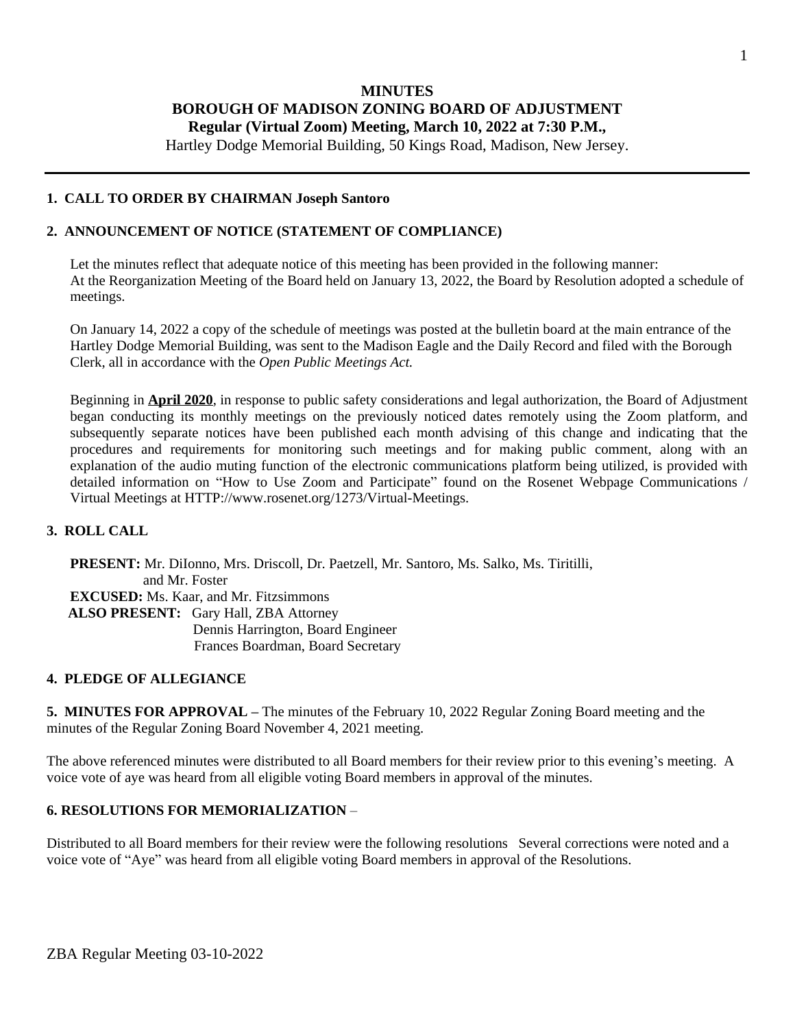## **MINUTES BOROUGH OF MADISON ZONING BOARD OF ADJUSTMENT Regular (Virtual Zoom) Meeting, March 10, 2022 at 7:30 P.M.,**

Hartley Dodge Memorial Building, 50 Kings Road, Madison, New Jersey.

#### **1. CALL TO ORDER BY CHAIRMAN Joseph Santoro**

#### **2. ANNOUNCEMENT OF NOTICE (STATEMENT OF COMPLIANCE)**

Let the minutes reflect that adequate notice of this meeting has been provided in the following manner: At the Reorganization Meeting of the Board held on January 13, 2022, the Board by Resolution adopted a schedule of meetings.

On January 14, 2022 a copy of the schedule of meetings was posted at the bulletin board at the main entrance of the Hartley Dodge Memorial Building, was sent to the Madison Eagle and the Daily Record and filed with the Borough Clerk, all in accordance with the *Open Public Meetings Act.*

Beginning in **April 2020**, in response to public safety considerations and legal authorization, the Board of Adjustment began conducting its monthly meetings on the previously noticed dates remotely using the Zoom platform, and subsequently separate notices have been published each month advising of this change and indicating that the procedures and requirements for monitoring such meetings and for making public comment, along with an explanation of the audio muting function of the electronic communications platform being utilized, is provided with detailed information on "How to Use Zoom and Participate" found on the Rosenet Webpage Communications / Virtual Meetings at HTTP://www.rosenet.org/1273/Virtual-Meetings.

#### **3. ROLL CALL**

**PRESENT:** Mr. DiIonno, Mrs. Driscoll, Dr. Paetzell, Mr. Santoro, Ms. Salko, Ms. Tiritilli, and Mr. Foster **EXCUSED:** Ms. Kaar, and Mr. Fitzsimmons  **ALSO PRESENT:** Gary Hall, ZBA Attorney Dennis Harrington, Board Engineer Frances Boardman, Board Secretary

#### **4. PLEDGE OF ALLEGIANCE**

**5. MINUTES FOR APPROVAL –** The minutes of the February 10, 2022 Regular Zoning Board meeting and the minutes of the Regular Zoning Board November 4, 2021 meeting.

The above referenced minutes were distributed to all Board members for their review prior to this evening's meeting. A voice vote of aye was heard from all eligible voting Board members in approval of the minutes.

#### **6. RESOLUTIONS FOR MEMORIALIZATION** –

Distributed to all Board members for their review were the following resolutions Several corrections were noted and a voice vote of "Aye" was heard from all eligible voting Board members in approval of the Resolutions.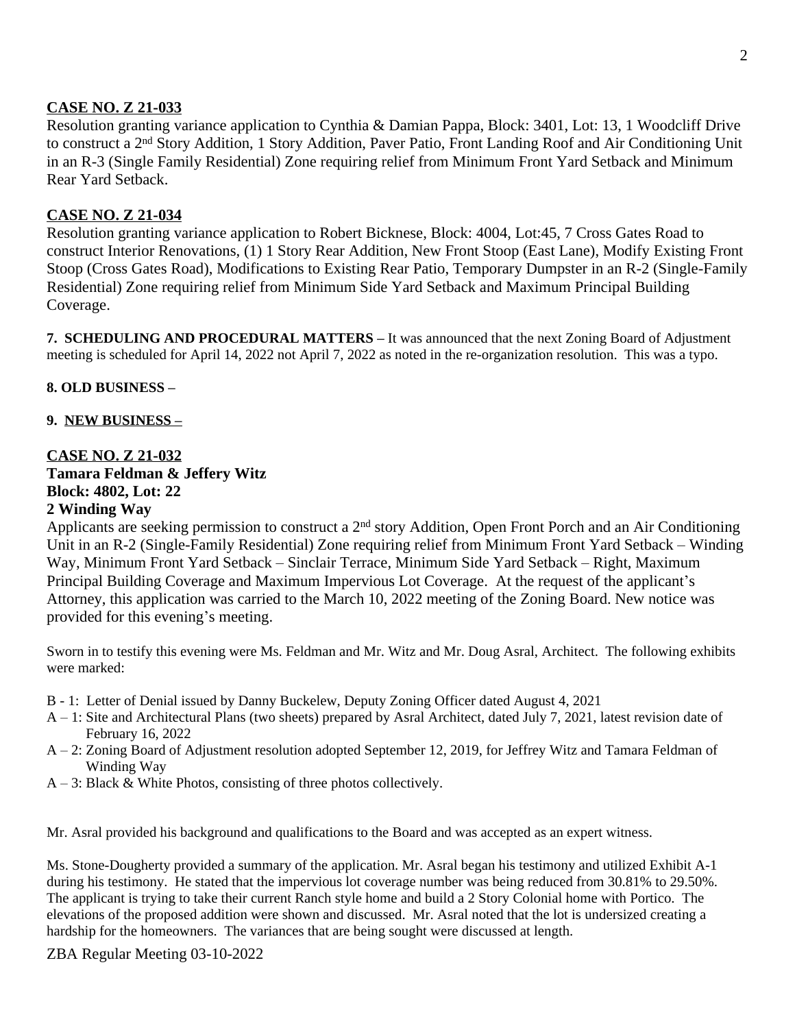## **CASE NO. Z 21-033**

Resolution granting variance application to Cynthia & Damian Pappa, Block: 3401, Lot: 13, 1 Woodcliff Drive to construct a 2nd Story Addition, 1 Story Addition, Paver Patio, Front Landing Roof and Air Conditioning Unit in an R-3 (Single Family Residential) Zone requiring relief from Minimum Front Yard Setback and Minimum Rear Yard Setback.

## **CASE NO. Z 21-034**

Resolution granting variance application to Robert Bicknese, Block: 4004, Lot:45, 7 Cross Gates Road to construct Interior Renovations, (1) 1 Story Rear Addition, New Front Stoop (East Lane), Modify Existing Front Stoop (Cross Gates Road), Modifications to Existing Rear Patio, Temporary Dumpster in an R-2 (Single-Family Residential) Zone requiring relief from Minimum Side Yard Setback and Maximum Principal Building Coverage.

**7. SCHEDULING AND PROCEDURAL MATTERS –** It was announced that the next Zoning Board of Adjustment meeting is scheduled for April 14, 2022 not April 7, 2022 as noted in the re-organization resolution. This was a typo.

## **8. OLD BUSINESS –**

## **9. NEW BUSINESS –**

#### **CASE NO. Z 21-032 Tamara Feldman & Jeffery Witz Block: 4802, Lot: 22 2 Winding Way**

Applicants are seeking permission to construct a 2nd story Addition, Open Front Porch and an Air Conditioning Unit in an R-2 (Single-Family Residential) Zone requiring relief from Minimum Front Yard Setback – Winding Way, Minimum Front Yard Setback – Sinclair Terrace, Minimum Side Yard Setback – Right, Maximum Principal Building Coverage and Maximum Impervious Lot Coverage. At the request of the applicant's Attorney, this application was carried to the March 10, 2022 meeting of the Zoning Board. New notice was provided for this evening's meeting.

Sworn in to testify this evening were Ms. Feldman and Mr. Witz and Mr. Doug Asral, Architect. The following exhibits were marked:

- B 1: Letter of Denial issued by Danny Buckelew, Deputy Zoning Officer dated August 4, 2021
- A 1: Site and Architectural Plans (two sheets) prepared by Asral Architect, dated July 7, 2021, latest revision date of February 16, 2022
- A 2: Zoning Board of Adjustment resolution adopted September 12, 2019, for Jeffrey Witz and Tamara Feldman of Winding Way
- $A 3$ : Black & White Photos, consisting of three photos collectively.

Mr. Asral provided his background and qualifications to the Board and was accepted as an expert witness.

Ms. Stone-Dougherty provided a summary of the application. Mr. Asral began his testimony and utilized Exhibit A-1 during his testimony. He stated that the impervious lot coverage number was being reduced from 30.81% to 29.50%. The applicant is trying to take their current Ranch style home and build a 2 Story Colonial home with Portico. The elevations of the proposed addition were shown and discussed. Mr. Asral noted that the lot is undersized creating a hardship for the homeowners. The variances that are being sought were discussed at length.

ZBA Regular Meeting 03-10-2022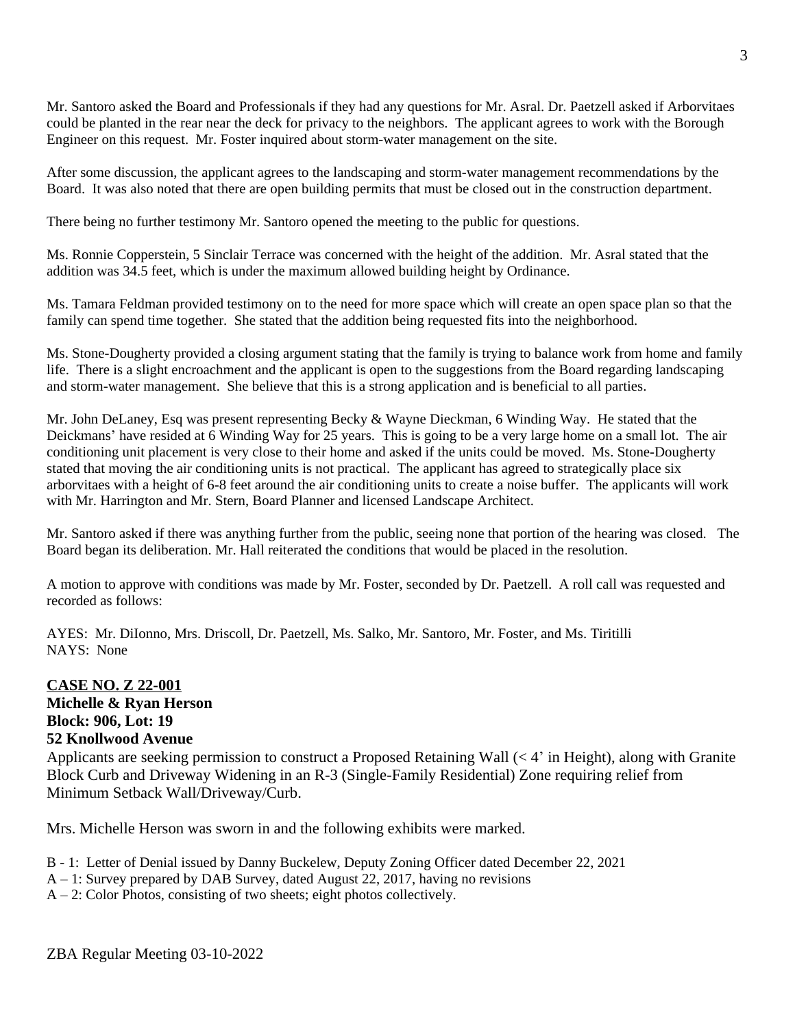Mr. Santoro asked the Board and Professionals if they had any questions for Mr. Asral. Dr. Paetzell asked if Arborvitaes could be planted in the rear near the deck for privacy to the neighbors. The applicant agrees to work with the Borough Engineer on this request. Mr. Foster inquired about storm-water management on the site.

After some discussion, the applicant agrees to the landscaping and storm-water management recommendations by the Board. It was also noted that there are open building permits that must be closed out in the construction department.

There being no further testimony Mr. Santoro opened the meeting to the public for questions.

Ms. Ronnie Copperstein, 5 Sinclair Terrace was concerned with the height of the addition. Mr. Asral stated that the addition was 34.5 feet, which is under the maximum allowed building height by Ordinance.

Ms. Tamara Feldman provided testimony on to the need for more space which will create an open space plan so that the family can spend time together. She stated that the addition being requested fits into the neighborhood.

Ms. Stone-Dougherty provided a closing argument stating that the family is trying to balance work from home and family life. There is a slight encroachment and the applicant is open to the suggestions from the Board regarding landscaping and storm-water management. She believe that this is a strong application and is beneficial to all parties.

Mr. John DeLaney, Esq was present representing Becky & Wayne Dieckman, 6 Winding Way. He stated that the Deickmans' have resided at 6 Winding Way for 25 years. This is going to be a very large home on a small lot. The air conditioning unit placement is very close to their home and asked if the units could be moved. Ms. Stone-Dougherty stated that moving the air conditioning units is not practical. The applicant has agreed to strategically place six arborvitaes with a height of 6-8 feet around the air conditioning units to create a noise buffer. The applicants will work with Mr. Harrington and Mr. Stern, Board Planner and licensed Landscape Architect.

Mr. Santoro asked if there was anything further from the public, seeing none that portion of the hearing was closed. The Board began its deliberation. Mr. Hall reiterated the conditions that would be placed in the resolution.

A motion to approve with conditions was made by Mr. Foster, seconded by Dr. Paetzell. A roll call was requested and recorded as follows:

AYES: Mr. DiIonno, Mrs. Driscoll, Dr. Paetzell, Ms. Salko, Mr. Santoro, Mr. Foster, and Ms. Tiritilli NAYS: None

## **CASE NO. Z 22-001**

**Michelle & Ryan Herson Block: 906, Lot: 19 52 Knollwood Avenue**

Applicants are seeking permission to construct a Proposed Retaining Wall (< 4' in Height), along with Granite Block Curb and Driveway Widening in an R-3 (Single-Family Residential) Zone requiring relief from Minimum Setback Wall/Driveway/Curb.

Mrs. Michelle Herson was sworn in and the following exhibits were marked.

- B 1: Letter of Denial issued by Danny Buckelew, Deputy Zoning Officer dated December 22, 2021
- A 1: Survey prepared by DAB Survey, dated August 22, 2017, having no revisions
- $A 2$ : Color Photos, consisting of two sheets; eight photos collectively.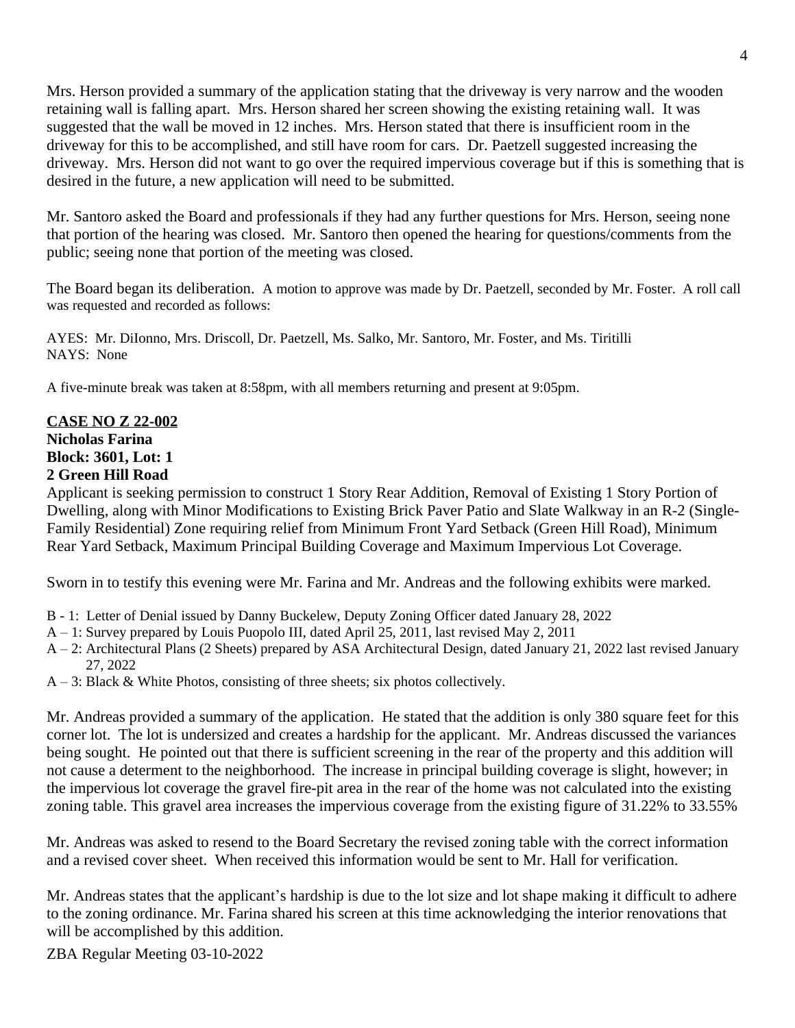Mrs. Herson provided a summary of the application stating that the driveway is very narrow and the wooden retaining wall is falling apart. Mrs. Herson shared her screen showing the existing retaining wall. It was suggested that the wall be moved in 12 inches. Mrs. Herson stated that there is insufficient room in the driveway for this to be accomplished, and still have room for cars. Dr. Paetzell suggested increasing the driveway. Mrs. Herson did not want to go over the required impervious coverage but if this is something that is desired in the future, a new application will need to be submitted.

Mr. Santoro asked the Board and professionals if they had any further questions for Mrs. Herson, seeing none that portion of the hearing was closed. Mr. Santoro then opened the hearing for questions/comments from the public; seeing none that portion of the meeting was closed.

The Board began its deliberation. A motion to approve was made by Dr. Paetzell, seconded by Mr. Foster. A roll call was requested and recorded as follows:

AYES: Mr. DiIonno, Mrs. Driscoll, Dr. Paetzell, Ms. Salko, Mr. Santoro, Mr. Foster, and Ms. Tiritilli NAYS: None

A five-minute break was taken at 8:58pm, with all members returning and present at 9:05pm.

## **CASE NO Z 22-002 Nicholas Farina Block: 3601, Lot: 1 2 Green Hill Road**

Applicant is seeking permission to construct 1 Story Rear Addition, Removal of Existing 1 Story Portion of Dwelling, along with Minor Modifications to Existing Brick Paver Patio and Slate Walkway in an R-2 (Single-Family Residential) Zone requiring relief from Minimum Front Yard Setback (Green Hill Road), Minimum Rear Yard Setback, Maximum Principal Building Coverage and Maximum Impervious Lot Coverage.

Sworn in to testify this evening were Mr. Farina and Mr. Andreas and the following exhibits were marked.

- B 1: Letter of Denial issued by Danny Buckelew, Deputy Zoning Officer dated January 28, 2022
- A 1: Survey prepared by Louis Puopolo III, dated April 25, 2011, last revised May 2, 2011
- A 2: Architectural Plans (2 Sheets) prepared by ASA Architectural Design, dated January 21, 2022 last revised January 27, 2022
- $A 3$ : Black & White Photos, consisting of three sheets; six photos collectively.

Mr. Andreas provided a summary of the application. He stated that the addition is only 380 square feet for this corner lot. The lot is undersized and creates a hardship for the applicant. Mr. Andreas discussed the variances being sought. He pointed out that there is sufficient screening in the rear of the property and this addition will not cause a determent to the neighborhood. The increase in principal building coverage is slight, however; in the impervious lot coverage the gravel fire-pit area in the rear of the home was not calculated into the existing zoning table. This gravel area increases the impervious coverage from the existing figure of 31.22% to 33.55%

Mr. Andreas was asked to resend to the Board Secretary the revised zoning table with the correct information and a revised cover sheet. When received this information would be sent to Mr. Hall for verification.

Mr. Andreas states that the applicant's hardship is due to the lot size and lot shape making it difficult to adhere to the zoning ordinance. Mr. Farina shared his screen at this time acknowledging the interior renovations that will be accomplished by this addition.

ZBA Regular Meeting 03-10-2022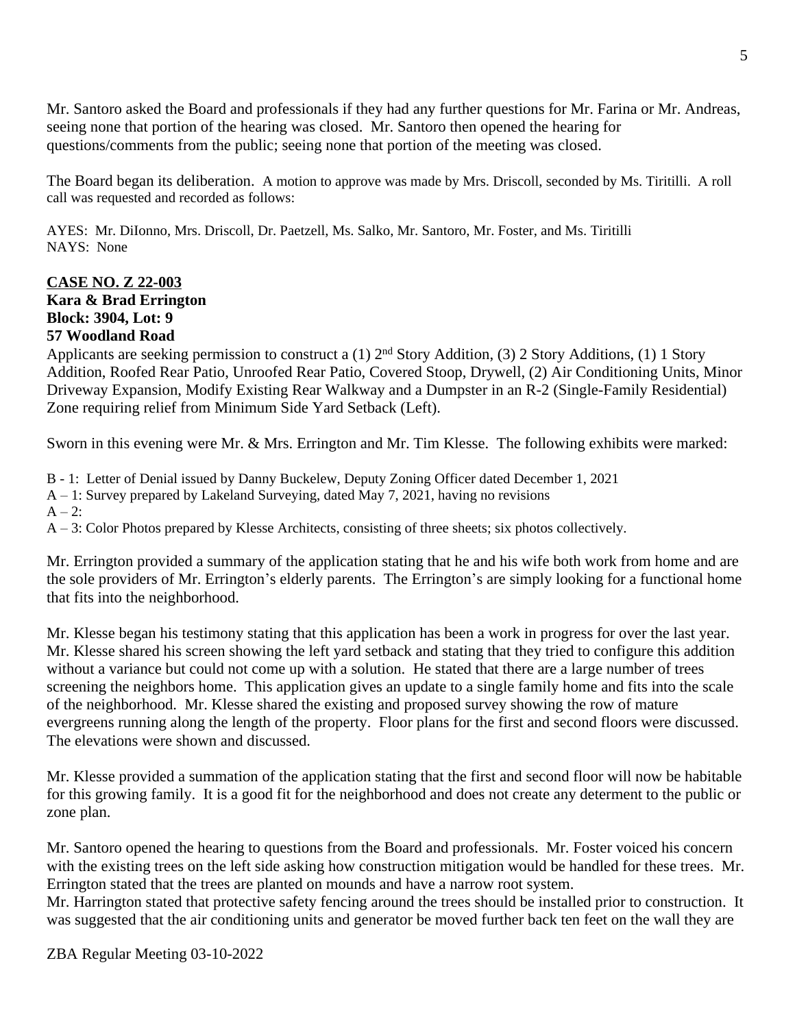Mr. Santoro asked the Board and professionals if they had any further questions for Mr. Farina or Mr. Andreas, seeing none that portion of the hearing was closed. Mr. Santoro then opened the hearing for questions/comments from the public; seeing none that portion of the meeting was closed.

The Board began its deliberation. A motion to approve was made by Mrs. Driscoll, seconded by Ms. Tiritilli. A roll call was requested and recorded as follows:

AYES: Mr. DiIonno, Mrs. Driscoll, Dr. Paetzell, Ms. Salko, Mr. Santoro, Mr. Foster, and Ms. Tiritilli NAYS: None

# **CASE NO. Z 22-003 Kara & Brad Errington Block: 3904, Lot: 9 57 Woodland Road**

Applicants are seeking permission to construct a (1) 2nd Story Addition, (3) 2 Story Additions, (1) 1 Story Addition, Roofed Rear Patio, Unroofed Rear Patio, Covered Stoop, Drywell, (2) Air Conditioning Units, Minor Driveway Expansion, Modify Existing Rear Walkway and a Dumpster in an R-2 (Single-Family Residential) Zone requiring relief from Minimum Side Yard Setback (Left).

Sworn in this evening were Mr. & Mrs. Errington and Mr. Tim Klesse. The following exhibits were marked:

B - 1: Letter of Denial issued by Danny Buckelew, Deputy Zoning Officer dated December 1, 2021

A – 1: Survey prepared by Lakeland Surveying, dated May 7, 2021, having no revisions

 $A - 2$ .

A – 3: Color Photos prepared by Klesse Architects, consisting of three sheets; six photos collectively.

Mr. Errington provided a summary of the application stating that he and his wife both work from home and are the sole providers of Mr. Errington's elderly parents. The Errington's are simply looking for a functional home that fits into the neighborhood.

Mr. Klesse began his testimony stating that this application has been a work in progress for over the last year. Mr. Klesse shared his screen showing the left yard setback and stating that they tried to configure this addition without a variance but could not come up with a solution. He stated that there are a large number of trees screening the neighbors home. This application gives an update to a single family home and fits into the scale of the neighborhood. Mr. Klesse shared the existing and proposed survey showing the row of mature evergreens running along the length of the property. Floor plans for the first and second floors were discussed. The elevations were shown and discussed.

Mr. Klesse provided a summation of the application stating that the first and second floor will now be habitable for this growing family. It is a good fit for the neighborhood and does not create any determent to the public or zone plan.

Mr. Santoro opened the hearing to questions from the Board and professionals. Mr. Foster voiced his concern with the existing trees on the left side asking how construction mitigation would be handled for these trees. Mr. Errington stated that the trees are planted on mounds and have a narrow root system.

Mr. Harrington stated that protective safety fencing around the trees should be installed prior to construction. It was suggested that the air conditioning units and generator be moved further back ten feet on the wall they are

ZBA Regular Meeting 03-10-2022